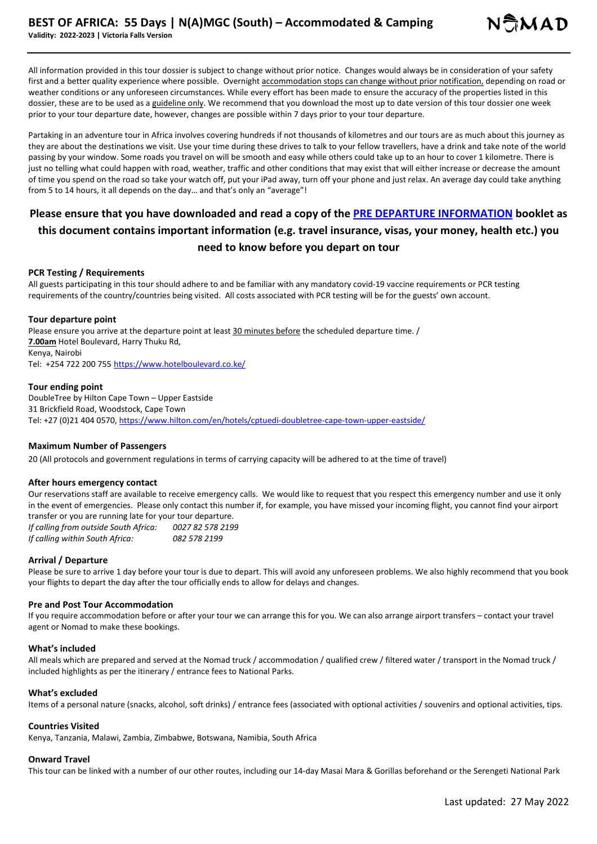All information provided in this tour dossier is subject to change without prior notice. Changes would always be in consideration of your safety first and a better quality experience where possible. Overnight accommodation stops can change without prior notification, depending on road or weather conditions or any unforeseen circumstances. While every effort has been made to ensure the accuracy of the properties listed in this dossier, these are to be used as a guideline only. We recommend that you download the most up to date version of this tour dossier one week prior to your tour departure date, however, changes are possible within 7 days prior to your tour departure.

Partaking in an adventure tour in Africa involves covering hundreds if not thousands of kilometres and our tours are as much about this journey as they are about the destinations we visit. Use your time during these drives to talk to your fellow travellers, have a drink and take note of the world passing by your window. Some roads you travel on will be smooth and easy while others could take up to an hour to cover 1 kilometre. There is just no telling what could happen with road, weather, traffic and other conditions that may exist that will either increase or decrease the amount of time you spend on the road so take your watch off, put your iPad away, turn off your phone and just relax. An average day could take anything from 5 to 14 hours, it all depends on the day… and that's only an "average"!

# **Please ensure that you have downloaded and read a copy of the PRE DEPARTURE INFORMATION booklet as this document contains important information (e.g. travel insurance, visas, your money, health etc.) you need to know before you depart on tour**

#### **PCR Testing / Requirements**

All guests participating in this tour should adhere to and be familiar with any mandatory covid-19 vaccine requirements or PCR testing requirements of the country/countries being visited. All costs associated with PCR testing will be for the guests' own account.

#### **Tour departure point**

Please ensure you arrive at the departure point at least 30 minutes before the scheduled departure time. / **7.00am** Hotel Boulevard, Harry Thuku Rd, Kenya, Nairobi Tel: +254 722 200 755 https://www.hotelboulevard.co.ke/

#### **Tour ending point**

DoubleTree by Hilton Cape Town – Upper Eastside 31 Brickfield Road, Woodstock, Cape Town Tel: +27 (0)21 404 0570, https://www.hilton.com/en/hotels/cptuedi-doubletree-cape-town-upper-eastside/

#### **Maximum Number of Passengers**

20 (All protocols and government regulations in terms of carrying capacity will be adhered to at the time of travel)

#### **After hours emergency contact**

Our reservations staff are available to receive emergency calls. We would like to request that you respect this emergency number and use it only in the event of emergencies. Please only contact this number if, for example, you have missed your incoming flight, you cannot find your airport transfer or you are running late for your tour departure.

*If calling from outside South Africa: 0027 82 578 2199 If calling within South Africa: 082 578 2199*

#### **Arrival / Departure**

Please be sure to arrive 1 day before your tour is due to depart. This will avoid any unforeseen problems. We also highly recommend that you book your flights to depart the day after the tour officially ends to allow for delays and changes.

#### **Pre and Post Tour Accommodation**

If you require accommodation before or after your tour we can arrange this for you. We can also arrange airport transfers – contact your travel agent or Nomad to make these bookings.

#### **What's included**

All meals which are prepared and served at the Nomad truck / accommodation / qualified crew / filtered water / transport in the Nomad truck / included highlights as per the itinerary / entrance fees to National Parks.

#### **What's excluded**

Items of a personal nature (snacks, alcohol, soft drinks) / entrance fees (associated with optional activities / souvenirs and optional activities, tips.

#### **Countries Visited**

Kenya, Tanzania, Malawi, Zambia, Zimbabwe, Botswana, Namibia, South Africa

#### **Onward Travel**

This tour can be linked with a number of our other routes, including our 14-day Masai Mara & Gorillas beforehand or the Serengeti National Park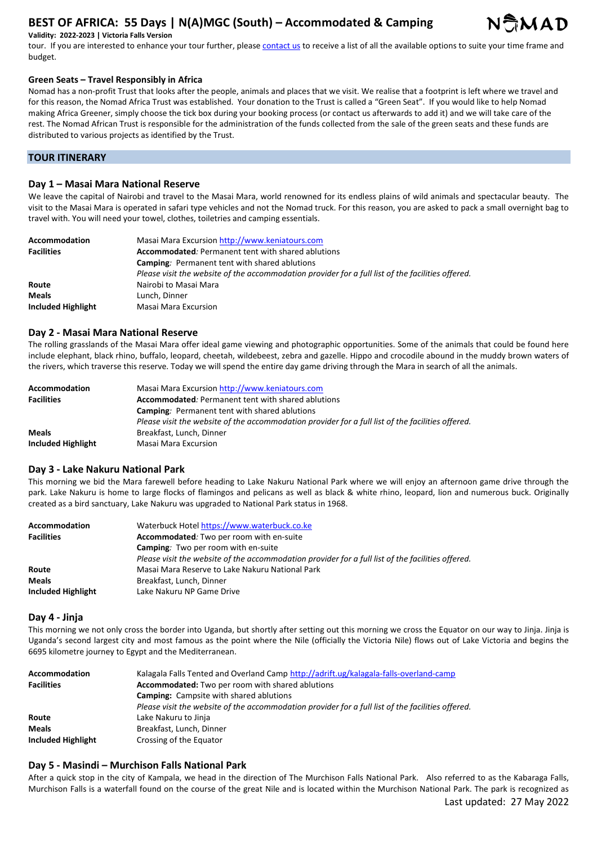

#### **Validity: 2022-2023 | Victoria Falls Version**

tour. If you are interested to enhance your tour further, please contact us to receive a list of all the available options to suite your time frame and budget.

#### **Green Seats – Travel Responsibly in Africa**

Nomad has a non-profit Trust that looks after the people, animals and places that we visit. We realise that a footprint is left where we travel and for this reason, the Nomad Africa Trust was established. Your donation to the Trust is called a "Green Seat". If you would like to help Nomad making Africa Greener, simply choose the tick box during your booking process (or contact us afterwards to add it) and we will take care of the rest. The Nomad African Trust is responsible for the administration of the funds collected from the sale of the green seats and these funds are distributed to various projects as identified by the Trust.

# **TOUR ITINERARY**

## **Day 1 – Masai Mara National Reserve**

We leave the capital of Nairobi and travel to the Masai Mara, world renowned for its endless plains of wild animals and spectacular beauty. The visit to the Masai Mara is operated in safari type vehicles and not the Nomad truck. For this reason, you are asked to pack a small overnight bag to travel with. You will need your towel, clothes, toiletries and camping essentials.

| <b>Accommodation</b> | Masai Mara Excursion http://www.keniatours.com                                                    |
|----------------------|---------------------------------------------------------------------------------------------------|
| <b>Facilities</b>    | <b>Accommodated:</b> Permanent tent with shared ablutions                                         |
|                      | <b>Camping:</b> Permanent tent with shared ablutions                                              |
|                      | Please visit the website of the accommodation provider for a full list of the facilities offered. |
| Route                | Nairobi to Masai Mara                                                                             |
| <b>Meals</b>         | Lunch, Dinner                                                                                     |
| Included Highlight   | Masai Mara Excursion                                                                              |

#### **Day 2 - Masai Mara National Reserve**

The rolling grasslands of the Masai Mara offer ideal game viewing and photographic opportunities. Some of the animals that could be found here include elephant, black rhino, buffalo, leopard, cheetah, wildebeest, zebra and gazelle. Hippo and crocodile abound in the muddy brown waters of the rivers, which traverse this reserve. Today we will spend the entire day game driving through the Mara in search of all the animals.

| Accommodation      | Masai Mara Excursion http://www.keniatours.com                                                    |
|--------------------|---------------------------------------------------------------------------------------------------|
| <b>Facilities</b>  | Accommodated: Permanent tent with shared ablutions                                                |
|                    | Camping: Permanent tent with shared ablutions                                                     |
|                    | Please visit the website of the accommodation provider for a full list of the facilities offered. |
| <b>Meals</b>       | Breakfast, Lunch, Dinner                                                                          |
| Included Highlight | Masai Mara Excursion                                                                              |

## **Day 3 - Lake Nakuru National Park**

This morning we bid the Mara farewell before heading to Lake Nakuru National Park where we will enjoy an afternoon game drive through the park. Lake Nakuru is home to large flocks of flamingos and pelicans as well as black & white rhino, leopard, lion and numerous buck. Originally created as a bird sanctuary, Lake Nakuru was upgraded to National Park status in 1968.

| Accommodation      | Waterbuck Hotel https://www.waterbuck.co.ke                                                       |
|--------------------|---------------------------------------------------------------------------------------------------|
| <b>Facilities</b>  | Accommodated: Two per room with en-suite                                                          |
|                    | <b>Camping:</b> Two per room with en-suite                                                        |
|                    | Please visit the website of the accommodation provider for a full list of the facilities offered. |
| Route              | Masai Mara Reserve to Lake Nakuru National Park                                                   |
| <b>Meals</b>       | Breakfast, Lunch, Dinner                                                                          |
| Included Highlight | Lake Nakuru NP Game Drive                                                                         |

#### **Day 4 - Jinja**

This morning we not only cross the border into Uganda, but shortly after setting out this morning we cross the Equator on our way to Jinja. Jinja is Uganda's second largest city and most famous as the point where the Nile (officially the Victoria Nile) flows out of Lake Victoria and begins the 6695 kilometre journey to Egypt and the Mediterranean.

| Accommodation      | Kalagala Falls Tented and Overland Camp http://adrift.ug/kalagala-falls-overland-camp             |
|--------------------|---------------------------------------------------------------------------------------------------|
| <b>Facilities</b>  | Accommodated: Two per room with shared ablutions                                                  |
|                    | <b>Camping:</b> Campsite with shared ablutions                                                    |
|                    | Please visit the website of the accommodation provider for a full list of the facilities offered. |
| Route              | Lake Nakuru to Jinja                                                                              |
| <b>Meals</b>       | Breakfast, Lunch, Dinner                                                                          |
| Included Highlight | Crossing of the Equator                                                                           |

## **Day 5 - Masindi – Murchison Falls National Park**

After a quick stop in the city of Kampala, we head in the direction of The Murchison Falls National Park. Also referred to as the Kabaraga Falls, Murchison Falls is a waterfall found on the course of the great Nile and is located within the Murchison National Park. The park is recognized as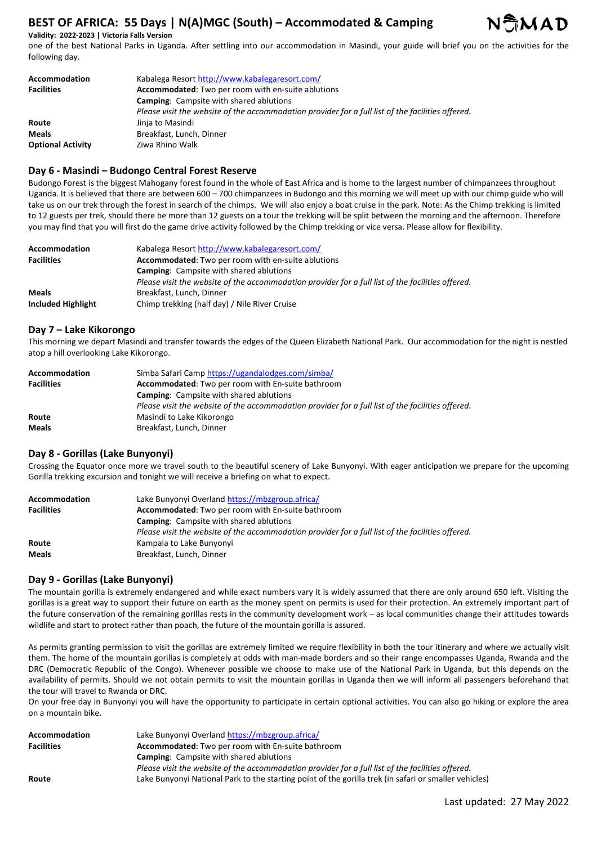

one of the best National Parks in Uganda. After settling into our accommodation in Masindi, your guide will brief you on the activities for the following day.

| Accommodation            | Kabalega Resort http://www.kabalegaresort.com/                                                    |
|--------------------------|---------------------------------------------------------------------------------------------------|
| <b>Facilities</b>        | <b>Accommodated:</b> Two per room with en-suite ablutions                                         |
|                          | <b>Camping:</b> Campsite with shared ablutions                                                    |
|                          | Please visit the website of the accommodation provider for a full list of the facilities offered. |
| Route                    | Jinja to Masindi                                                                                  |
| <b>Meals</b>             | Breakfast, Lunch, Dinner                                                                          |
| <b>Optional Activity</b> | Ziwa Rhino Walk                                                                                   |

## **Day 6 - Masindi – Budongo Central Forest Reserve**

Budongo Forest is the biggest Mahogany forest found in the whole of East Africa and is home to the largest number of chimpanzees throughout Uganda. It is believed that there are between 600 – 700 chimpanzees in Budongo and this morning we will meet up with our chimp guide who will take us on our trek through the forest in search of the chimps. We will also enjoy a boat cruise in the park. Note: As the Chimp trekking is limited to 12 guests per trek, should there be more than 12 guests on a tour the trekking will be split between the morning and the afternoon. Therefore you may find that you will first do the game drive activity followed by the Chimp trekking or vice versa. Please allow for flexibility.

| Accommodation      | Kabalega Resort http://www.kabalegaresort.com/                                                    |
|--------------------|---------------------------------------------------------------------------------------------------|
| <b>Facilities</b>  | <b>Accommodated:</b> Two per room with en-suite ablutions                                         |
|                    | <b>Camping:</b> Campsite with shared ablutions                                                    |
|                    | Please visit the website of the accommodation provider for a full list of the facilities offered. |
| <b>Meals</b>       | Breakfast, Lunch, Dinner                                                                          |
| Included Highlight | Chimp trekking (half day) / Nile River Cruise                                                     |

#### **Day 7 – Lake Kikorongo**

This morning we depart Masindi and transfer towards the edges of the Queen Elizabeth National Park. Our accommodation for the night is nestled atop a hill overlooking Lake Kikorongo.

| <b>Accommodation</b> | Simba Safari Camp https://ugandalodges.com/simba/                                                 |
|----------------------|---------------------------------------------------------------------------------------------------|
| <b>Facilities</b>    | Accommodated: Two per room with En-suite bathroom                                                 |
|                      | <b>Camping:</b> Campsite with shared ablutions                                                    |
|                      | Please visit the website of the accommodation provider for a full list of the facilities offered. |
| Route                | Masindi to Lake Kikorongo                                                                         |
| <b>Meals</b>         | Breakfast, Lunch, Dinner                                                                          |

## **Day 8 - Gorillas (Lake Bunyonyi)**

Crossing the Equator once more we travel south to the beautiful scenery of Lake Bunyonyi. With eager anticipation we prepare for the upcoming Gorilla trekking excursion and tonight we will receive a briefing on what to expect.

| <b>Accommodation</b> | Lake Bunyonyi Overland https://mbzgroup.africa/                                                   |
|----------------------|---------------------------------------------------------------------------------------------------|
| <b>Facilities</b>    | Accommodated: Two per room with En-suite bathroom                                                 |
|                      | <b>Camping:</b> Campsite with shared ablutions                                                    |
|                      | Please visit the website of the accommodation provider for a full list of the facilities offered. |
| Route                | Kampala to Lake Bunyonyi                                                                          |
| <b>Meals</b>         | Breakfast, Lunch, Dinner                                                                          |

## **Day 9 - Gorillas (Lake Bunyonyi)**

The mountain gorilla is extremely endangered and while exact numbers vary it is widely assumed that there are only around 650 left. Visiting the gorillas is a great way to support their future on earth as the money spent on permits is used for their protection. An extremely important part of the future conservation of the remaining gorillas rests in the community development work – as local communities change their attitudes towards wildlife and start to protect rather than poach, the future of the mountain gorilla is assured.

As permits granting permission to visit the gorillas are extremely limited we require flexibility in both the tour itinerary and where we actually visit them. The home of the mountain gorillas is completely at odds with man-made borders and so their range encompasses Uganda, Rwanda and the DRC (Democratic Republic of the Congo). Whenever possible we choose to make use of the National Park in Uganda, but this depends on the availability of permits. Should we not obtain permits to visit the mountain gorillas in Uganda then we will inform all passengers beforehand that the tour will travel to Rwanda or DRC.

On your free day in Bunyonyi you will have the opportunity to participate in certain optional activities. You can also go hiking or explore the area on a mountain bike.

| Accommodation     | Lake Bunyonyi Overland https://mbzgroup.africa/                                                       |
|-------------------|-------------------------------------------------------------------------------------------------------|
| <b>Facilities</b> | <b>Accommodated:</b> Two per room with En-suite bathroom                                              |
|                   | <b>Camping:</b> Campsite with shared ablutions                                                        |
|                   | Please visit the website of the accommodation provider for a full list of the facilities offered.     |
| Route             | Lake Bunyonyi National Park to the starting point of the gorilla trek (in safari or smaller vehicles) |

NAMAD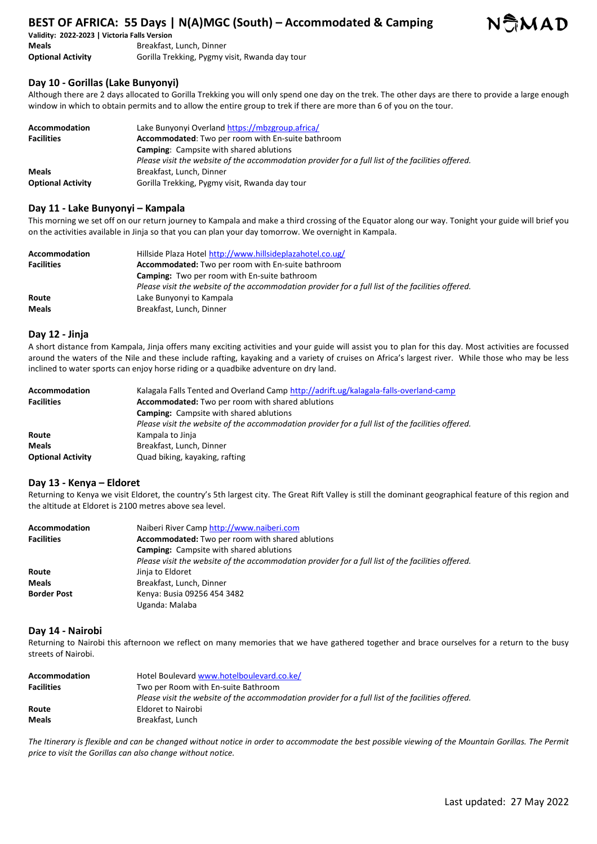

**Validity: 2022-2023 | Victoria Falls Version Meals** Breakfast, Lunch, Dinner **Optional Activity** Gorilla Trekking, Pygmy visit, Rwanda day tour

# **Day 10 - Gorillas (Lake Bunyonyi)**

Although there are 2 days allocated to Gorilla Trekking you will only spend one day on the trek. The other days are there to provide a large enough window in which to obtain permits and to allow the entire group to trek if there are more than 6 of you on the tour.

| Accommodation            | Lake Bunyonyi Overland https://mbzgroup.africa/                                                   |
|--------------------------|---------------------------------------------------------------------------------------------------|
| <b>Facilities</b>        | Accommodated: Two per room with En-suite bathroom                                                 |
|                          | <b>Camping:</b> Campsite with shared ablutions                                                    |
|                          | Please visit the website of the accommodation provider for a full list of the facilities offered. |
| <b>Meals</b>             | Breakfast, Lunch, Dinner                                                                          |
| <b>Optional Activity</b> | Gorilla Trekking, Pygmy visit, Rwanda day tour                                                    |

# **Day 11 - Lake Bunyonyi – Kampala**

This morning we set off on our return journey to Kampala and make a third crossing of the Equator along our way. Tonight your guide will brief you on the activities available in Jinja so that you can plan your day tomorrow. We overnight in Kampala.

| Accommodation     | Hillside Plaza Hotel http://www.hillsideplazahotel.co.ug/                                         |
|-------------------|---------------------------------------------------------------------------------------------------|
| <b>Facilities</b> | <b>Accommodated:</b> Two per room with En-suite bathroom                                          |
|                   | <b>Camping:</b> Two per room with En-suite bathroom                                               |
|                   | Please visit the website of the accommodation provider for a full list of the facilities offered. |
| Route             | Lake Bunyonyi to Kampala                                                                          |
| <b>Meals</b>      | Breakfast, Lunch, Dinner                                                                          |

## **Day 12 - Jinja**

A short distance from Kampala, Jinja offers many exciting activities and your guide will assist you to plan for this day. Most activities are focussed around the waters of the Nile and these include rafting, kayaking and a variety of cruises on Africa's largest river. While those who may be less inclined to water sports can enjoy horse riding or a quadbike adventure on dry land.

| Accommodation<br><b>Facilities</b> | Kalagala Falls Tented and Overland Camp http://adrift.ug/kalagala-falls-overland-camp<br>Accommodated: Two per room with shared ablutions |
|------------------------------------|-------------------------------------------------------------------------------------------------------------------------------------------|
|                                    | <b>Camping:</b> Campsite with shared ablutions                                                                                            |
|                                    | Please visit the website of the accommodation provider for a full list of the facilities offered.                                         |
| Route                              | Kampala to Jinja                                                                                                                          |
| <b>Meals</b>                       | Breakfast, Lunch, Dinner                                                                                                                  |
| <b>Optional Activity</b>           | Quad biking, kayaking, rafting                                                                                                            |

## **Day 13 - Kenya – Eldoret**

Returning to Kenya we visit Eldoret, the country's 5th largest city. The Great Rift Valley is still the dominant geographical feature of this region and the altitude at Eldoret is 2100 metres above sea level.

| <b>Accommodation</b> | Naiberi River Camp http://www.naiberi.com                                                         |
|----------------------|---------------------------------------------------------------------------------------------------|
| <b>Facilities</b>    | Accommodated: Two per room with shared ablutions                                                  |
|                      | <b>Camping:</b> Campsite with shared ablutions                                                    |
|                      | Please visit the website of the accommodation provider for a full list of the facilities offered. |
| Route                | Jinja to Eldoret                                                                                  |
| <b>Meals</b>         | Breakfast, Lunch, Dinner                                                                          |
| <b>Border Post</b>   | Kenya: Busia 09256 454 3482                                                                       |
|                      | Uganda: Malaba                                                                                    |

### **Day 14 - Nairobi**

Returning to Nairobi this afternoon we reflect on many memories that we have gathered together and brace ourselves for a return to the busy streets of Nairobi.

| Hotel Boulevard www.hotelboulevard.co.ke/                                                         |
|---------------------------------------------------------------------------------------------------|
| Two per Room with En-suite Bathroom                                                               |
| Please visit the website of the accommodation provider for a full list of the facilities offered. |
| Eldoret to Nairobi                                                                                |
| Breakfast, Lunch                                                                                  |
|                                                                                                   |

The Itinerary is flexible and can be changed without notice in order to accommodate the best possible viewing of the Mountain Gorillas. The Permit *price to visit the Gorillas can also change without notice.*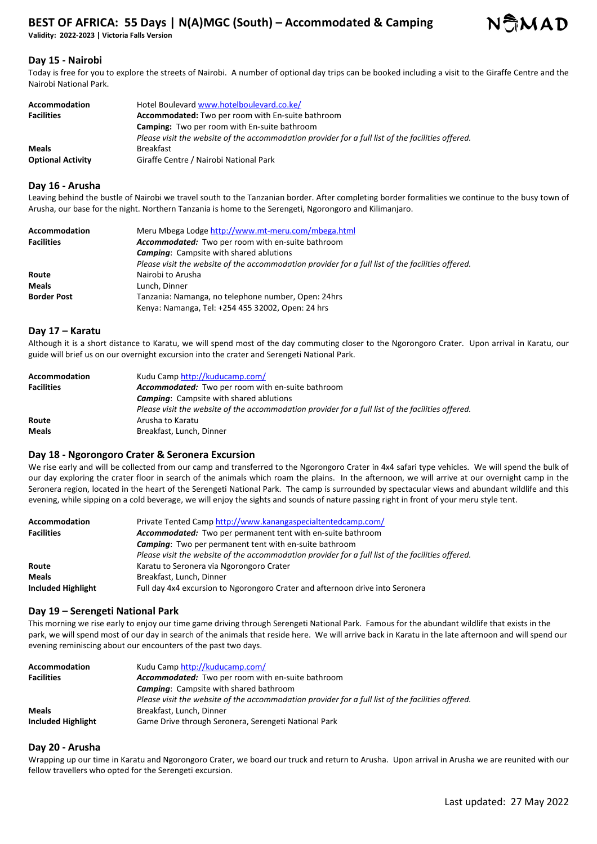**Validity: 2022-2023 | Victoria Falls Version** 



# **Day 15 - Nairobi**

Today is free for you to explore the streets of Nairobi. A number of optional day trips can be booked including a visit to the Giraffe Centre and the Nairobi National Park.

| Accommodation            | Hotel Boulevard www.hotelboulevard.co.ke/                                                         |
|--------------------------|---------------------------------------------------------------------------------------------------|
| <b>Facilities</b>        | <b>Accommodated:</b> Two per room with En-suite bathroom                                          |
|                          | <b>Camping:</b> Two per room with En-suite bathroom                                               |
|                          | Please visit the website of the accommodation provider for a full list of the facilities offered. |
| <b>Meals</b>             | <b>Breakfast</b>                                                                                  |
| <b>Optional Activity</b> | Giraffe Centre / Nairobi National Park                                                            |

# **Day 16 - Arusha**

Leaving behind the bustle of Nairobi we travel south to the Tanzanian border. After completing border formalities we continue to the busy town of Arusha, our base for the night. Northern Tanzania is home to the Serengeti, Ngorongoro and Kilimanjaro.

| Accommodation      | Meru Mbega Lodge http://www.mt-meru.com/mbega.html                                                |
|--------------------|---------------------------------------------------------------------------------------------------|
| <b>Facilities</b>  | Accommodated: Two per room with en-suite bathroom                                                 |
|                    | <b>Camping:</b> Campsite with shared ablutions                                                    |
|                    | Please visit the website of the accommodation provider for a full list of the facilities offered. |
| Route              | Nairobi to Arusha                                                                                 |
| <b>Meals</b>       | Lunch. Dinner                                                                                     |
| <b>Border Post</b> | Tanzania: Namanga, no telephone number, Open: 24hrs                                               |
|                    | Kenya: Namanga, Tel: +254 455 32002, Open: 24 hrs                                                 |

## **Day 17 – Karatu**

Although it is a short distance to Karatu, we will spend most of the day commuting closer to the Ngorongoro Crater. Upon arrival in Karatu, our guide will brief us on our overnight excursion into the crater and Serengeti National Park.

| Accommodation     | Kudu Camp http://kuducamp.com/                                                                    |
|-------------------|---------------------------------------------------------------------------------------------------|
| <b>Facilities</b> | <b>Accommodated:</b> Two per room with en-suite bathroom                                          |
|                   | <b>Camping:</b> Campsite with shared ablutions                                                    |
|                   | Please visit the website of the accommodation provider for a full list of the facilities offered. |
| Route             | Arusha to Karatu                                                                                  |
| <b>Meals</b>      | Breakfast, Lunch, Dinner                                                                          |

## **Day 18 - Ngorongoro Crater & Seronera Excursion**

We rise early and will be collected from our camp and transferred to the Ngorongoro Crater in 4x4 safari type vehicles. We will spend the bulk of our day exploring the crater floor in search of the animals which roam the plains. In the afternoon, we will arrive at our overnight camp in the Seronera region, located in the heart of the Serengeti National Park. The camp is surrounded by spectacular views and abundant wildlife and this evening, while sipping on a cold beverage, we will enjoy the sights and sounds of nature passing right in front of your meru style tent.

| <b>Accommodation</b> | Private Tented Camp http://www.kanangaspecialtentedcamp.com/                                      |
|----------------------|---------------------------------------------------------------------------------------------------|
| <b>Facilities</b>    | Accommodated: Two per permanent tent with en-suite bathroom                                       |
|                      | <b>Camping:</b> Two per permanent tent with en-suite bathroom                                     |
|                      | Please visit the website of the accommodation provider for a full list of the facilities offered. |
| Route                | Karatu to Seronera via Ngorongoro Crater                                                          |
| <b>Meals</b>         | Breakfast, Lunch, Dinner                                                                          |
| Included Highlight   | Full day 4x4 excursion to Ngorongoro Crater and afternoon drive into Seronera                     |

## **Day 19 – Serengeti National Park**

This morning we rise early to enjoy our time game driving through Serengeti National Park. Famous for the abundant wildlife that exists in the park, we will spend most of our day in search of the animals that reside here. We will arrive back in Karatu in the late afternoon and will spend our evening reminiscing about our encounters of the past two days.

| Accommodation      | Kudu Camp http://kuducamp.com/                                                                    |
|--------------------|---------------------------------------------------------------------------------------------------|
| <b>Facilities</b>  | <b>Accommodated:</b> Two per room with en-suite bathroom                                          |
|                    | <b>Camping:</b> Campsite with shared bathroom                                                     |
|                    | Please visit the website of the accommodation provider for a full list of the facilities offered. |
| <b>Meals</b>       | Breakfast, Lunch, Dinner                                                                          |
| Included Highlight | Game Drive through Seronera, Serengeti National Park                                              |

## **Day 20 - Arusha**

Wrapping up our time in Karatu and Ngorongoro Crater, we board our truck and return to Arusha. Upon arrival in Arusha we are reunited with our fellow travellers who opted for the Serengeti excursion.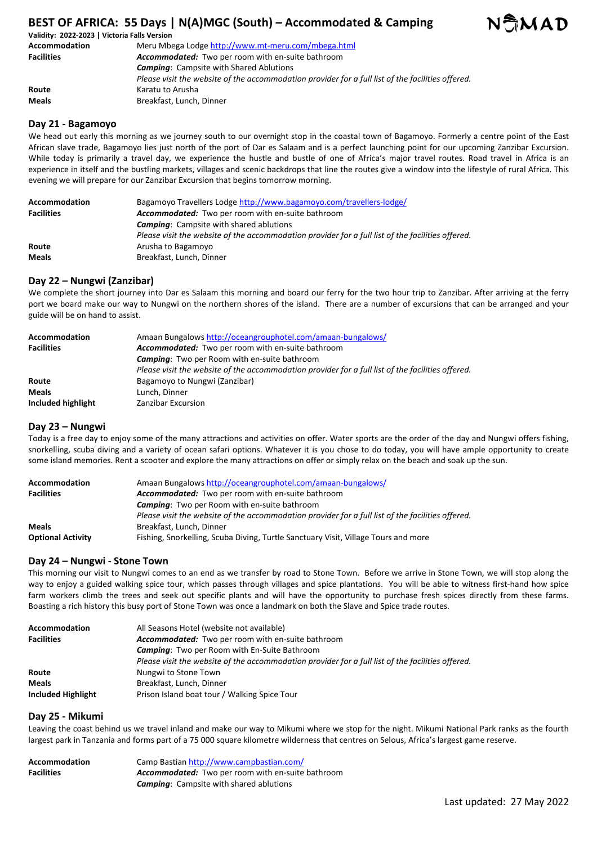

| Validity: 2022-2023   Victoria Falls Version |                                                                                                   |
|----------------------------------------------|---------------------------------------------------------------------------------------------------|
| Accommodation                                | Meru Mbega Lodge http://www.mt-meru.com/mbega.html                                                |
| <b>Facilities</b>                            | <b>Accommodated:</b> Two per room with en-suite bathroom                                          |
|                                              | <b>Camping:</b> Campsite with Shared Ablutions                                                    |
|                                              | Please visit the website of the accommodation provider for a full list of the facilities offered. |
| Route                                        | Karatu to Arusha                                                                                  |
| <b>Meals</b>                                 | Breakfast, Lunch, Dinner                                                                          |

### **Day 21 - Bagamoyo**

We head out early this morning as we journey south to our overnight stop in the coastal town of Bagamoyo. Formerly a centre point of the East African slave trade, Bagamoyo lies just north of the port of Dar es Salaam and is a perfect launching point for our upcoming Zanzibar Excursion. While today is primarily a travel day, we experience the hustle and bustle of one of Africa's major travel routes. Road travel in Africa is an experience in itself and the bustling markets, villages and scenic backdrops that line the routes give a window into the lifestyle of rural Africa. This evening we will prepare for our Zanzibar Excursion that begins tomorrow morning.

| <b>Accommodation</b> | Bagamoyo Travellers Lodge http://www.bagamoyo.com/travellers-lodge/                               |
|----------------------|---------------------------------------------------------------------------------------------------|
| <b>Facilities</b>    | Accommodated: Two per room with en-suite bathroom                                                 |
|                      | <b>Camping:</b> Campsite with shared ablutions                                                    |
|                      | Please visit the website of the accommodation provider for a full list of the facilities offered. |
| Route                | Arusha to Bagamoyo                                                                                |
| <b>Meals</b>         | Breakfast, Lunch, Dinner                                                                          |

## **Day 22 – Nungwi (Zanzibar)**

We complete the short journey into Dar es Salaam this morning and board our ferry for the two hour trip to Zanzibar. After arriving at the ferry port we board make our way to Nungwi on the northern shores of the island. There are a number of excursions that can be arranged and your guide will be on hand to assist.

| <b>Accommodation</b> | Amaan Bungalows http://oceangrouphotel.com/amaan-bungalows/                                       |
|----------------------|---------------------------------------------------------------------------------------------------|
| <b>Facilities</b>    | Accommodated: Two per room with en-suite bathroom                                                 |
|                      | <b>Camping:</b> Two per Room with en-suite bathroom                                               |
|                      | Please visit the website of the accommodation provider for a full list of the facilities offered. |
| Route                | Bagamoyo to Nungwi (Zanzibar)                                                                     |
| <b>Meals</b>         | Lunch. Dinner                                                                                     |
| Included highlight   | Zanzibar Excursion                                                                                |

#### **Day 23 – Nungwi**

Today is a free day to enjoy some of the many attractions and activities on offer. Water sports are the order of the day and Nungwi offers fishing, snorkelling, scuba diving and a variety of ocean safari options. Whatever it is you chose to do today, you will have ample opportunity to create some island memories. Rent a scooter and explore the many attractions on offer or simply relax on the beach and soak up the sun.

| Accommodation            | Amaan Bungalows http://oceangrouphotel.com/amaan-bungalows/                                       |
|--------------------------|---------------------------------------------------------------------------------------------------|
| <b>Facilities</b>        | Accommodated: Two per room with en-suite bathroom                                                 |
|                          | <b>Camping:</b> Two per Room with en-suite bathroom                                               |
|                          | Please visit the website of the accommodation provider for a full list of the facilities offered. |
| <b>Meals</b>             | Breakfast, Lunch, Dinner                                                                          |
| <b>Optional Activity</b> | Fishing, Snorkelling, Scuba Diving, Turtle Sanctuary Visit, Village Tours and more                |

#### **Day 24 – Nungwi - Stone Town**

This morning our visit to Nungwi comes to an end as we transfer by road to Stone Town. Before we arrive in Stone Town, we will stop along the way to enjoy a guided walking spice tour, which passes through villages and spice plantations. You will be able to witness first-hand how spice farm workers climb the trees and seek out specific plants and will have the opportunity to purchase fresh spices directly from these farms. Boasting a rich history this busy port of Stone Town was once a landmark on both the Slave and Spice trade routes.

| <b>Accommodation</b> | All Seasons Hotel (website not available)                                                         |
|----------------------|---------------------------------------------------------------------------------------------------|
| <b>Facilities</b>    | <b>Accommodated:</b> Two per room with en-suite bathroom                                          |
|                      | <b>Camping:</b> Two per Room with En-Suite Bathroom                                               |
|                      | Please visit the website of the accommodation provider for a full list of the facilities offered. |
| Route                | Nungwi to Stone Town                                                                              |
| <b>Meals</b>         | Breakfast, Lunch, Dinner                                                                          |
| Included Highlight   | Prison Island boat tour / Walking Spice Tour                                                      |

#### **Day 25 - Mikumi**

Leaving the coast behind us we travel inland and make our way to Mikumi where we stop for the night. Mikumi National Park ranks as the fourth largest park in Tanzania and forms part of a 75 000 square kilometre wilderness that centres on Selous, Africa's largest game reserve.

| Accommodation     | Camp Bastian http://www.campbastian.com/                 |
|-------------------|----------------------------------------------------------|
| <b>Facilities</b> | <b>Accommodated:</b> Two per room with en-suite bathroom |
|                   | <b>Camping:</b> Campsite with shared ablutions           |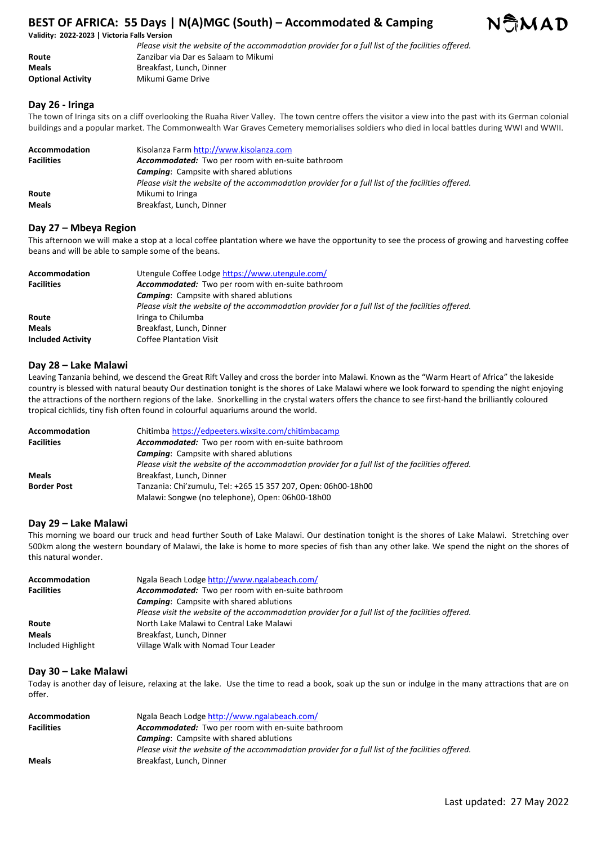#### **Validity: 2022-2023 | Victoria Falls Version**

|                          | Please visit the website of the accommodation provider for a full list of the facilities offered. |
|--------------------------|---------------------------------------------------------------------------------------------------|
| Route                    | Zanzibar via Dar es Salaam to Mikumi                                                              |
| <b>Meals</b>             | Breakfast. Lunch. Dinner                                                                          |
| <b>Optional Activity</b> | Mikumi Game Drive                                                                                 |

## **Day 26 - Iringa**

The town of Iringa sits on a cliff overlooking the Ruaha River Valley. The town centre offers the visitor a view into the past with its German colonial buildings and a popular market. The Commonwealth War Graves Cemetery memorialises soldiers who died in local battles during WWI and WWII.

| Accommodation<br><b>Facilities</b> | Kisolanza Farm http://www.kisolanza.com<br><b>Accommodated:</b> Two per room with en-suite bathroom<br><b>Camping:</b> Campsite with shared ablutions<br>Please visit the website of the accommodation provider for a full list of the facilities offered. |
|------------------------------------|------------------------------------------------------------------------------------------------------------------------------------------------------------------------------------------------------------------------------------------------------------|
| Route                              | Mikumi to Iringa                                                                                                                                                                                                                                           |
| <b>Meals</b>                       | Breakfast, Lunch, Dinner                                                                                                                                                                                                                                   |

## **Day 27 – Mbeya Region**

This afternoon we will make a stop at a local coffee plantation where we have the opportunity to see the process of growing and harvesting coffee beans and will be able to sample some of the beans.

| <b>Accommodation</b>     | Utengule Coffee Lodge https://www.utengule.com/                                                   |
|--------------------------|---------------------------------------------------------------------------------------------------|
| <b>Facilities</b>        | Accommodated: Two per room with en-suite bathroom                                                 |
|                          | <b>Camping:</b> Campsite with shared ablutions                                                    |
|                          | Please visit the website of the accommodation provider for a full list of the facilities offered. |
| Route                    | Iringa to Chilumba                                                                                |
| <b>Meals</b>             | Breakfast, Lunch, Dinner                                                                          |
| <b>Included Activity</b> | <b>Coffee Plantation Visit</b>                                                                    |

## **Day 28 – Lake Malawi**

Leaving Tanzania behind, we descend the Great Rift Valley and cross the border into Malawi. Known as the "Warm Heart of Africa" the lakeside country is blessed with natural beauty Our destination tonight is the shores of Lake Malawi where we look forward to spending the night enjoying the attractions of the northern regions of the lake. Snorkelling in the crystal waters offers the chance to see first-hand the brilliantly coloured tropical cichlids, tiny fish often found in colourful aquariums around the world.

| <b>Accommodation</b> | Chitimba https://edpeeters.wixsite.com/chitimbacamp                                               |
|----------------------|---------------------------------------------------------------------------------------------------|
| <b>Facilities</b>    | Accommodated: Two per room with en-suite bathroom                                                 |
|                      | <b>Camping:</b> Campsite with shared ablutions                                                    |
|                      | Please visit the website of the accommodation provider for a full list of the facilities offered. |
| <b>Meals</b>         | Breakfast, Lunch, Dinner                                                                          |
| <b>Border Post</b>   | Tanzania: Chi'zumulu, Tel: +265 15 357 207, Open: 06h00-18h00                                     |
|                      | Malawi: Songwe (no telephone), Open: 06h00-18h00                                                  |

#### **Day 29 – Lake Malawi**

This morning we board our truck and head further South of Lake Malawi. Our destination tonight is the shores of Lake Malawi. Stretching over 500km along the western boundary of Malawi, the lake is home to more species of fish than any other lake. We spend the night on the shores of this natural wonder.

| <b>Accommodation</b> | Ngala Beach Lodge http://www.ngalabeach.com/                                                      |
|----------------------|---------------------------------------------------------------------------------------------------|
| <b>Facilities</b>    | Accommodated: Two per room with en-suite bathroom                                                 |
|                      | <b>Camping:</b> Campsite with shared ablutions                                                    |
|                      | Please visit the website of the accommodation provider for a full list of the facilities offered. |
| Route                | North Lake Malawi to Central Lake Malawi                                                          |
| <b>Meals</b>         | Breakfast, Lunch, Dinner                                                                          |
| Included Highlight   | Village Walk with Nomad Tour Leader                                                               |

#### **Day 30 – Lake Malawi**

Today is another day of leisure, relaxing at the lake. Use the time to read a book, soak up the sun or indulge in the many attractions that are on offer.

| <b>Accommodation</b><br><b>Facilities</b> | Ngala Beach Lodge http://www.ngalabeach.com/<br>Accommodated: Two per room with en-suite bathroom |
|-------------------------------------------|---------------------------------------------------------------------------------------------------|
|                                           | <b>Camping:</b> Campsite with shared ablutions                                                    |
|                                           | Please visit the website of the accommodation provider for a full list of the facilities offered. |
| <b>Meals</b>                              | Breakfast, Lunch, Dinner                                                                          |

NAMAD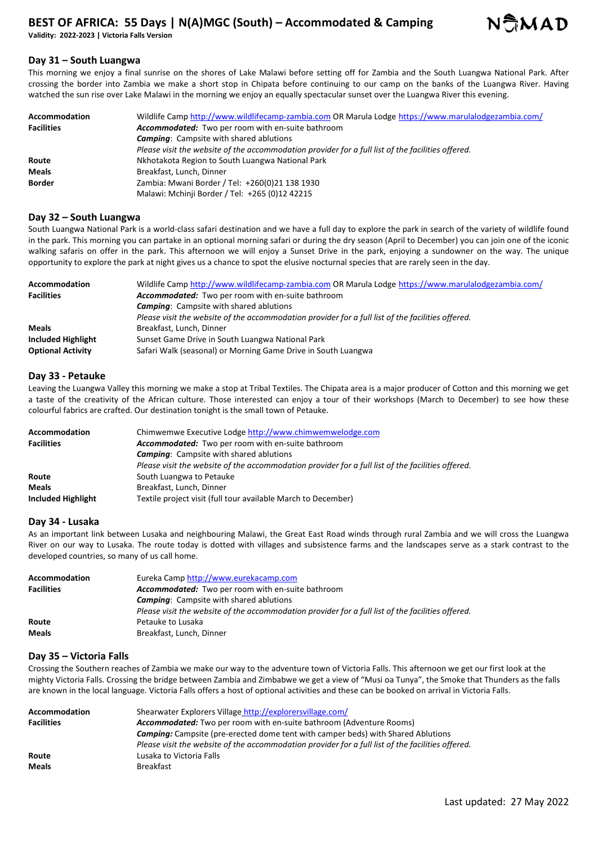**Validity: 2022-2023 | Victoria Falls Version** 



## **Day 31 – South Luangwa**

This morning we enjoy a final sunrise on the shores of Lake Malawi before setting off for Zambia and the South Luangwa National Park. After crossing the border into Zambia we make a short stop in Chipata before continuing to our camp on the banks of the Luangwa River. Having watched the sun rise over Lake Malawi in the morning we enjoy an equally spectacular sunset over the Luangwa River this evening.

| <b>Accommodation</b> | Wildlife Camp http://www.wildlifecamp-zambia.com OR Marula Lodge https://www.marulalodgezambia.com/ |
|----------------------|-----------------------------------------------------------------------------------------------------|
| <b>Facilities</b>    | Accommodated: Two per room with en-suite bathroom                                                   |
|                      | <b>Camping:</b> Campsite with shared ablutions                                                      |
|                      | Please visit the website of the accommodation provider for a full list of the facilities offered.   |
| Route                | Nkhotakota Region to South Luangwa National Park                                                    |
| Meals                | Breakfast, Lunch, Dinner                                                                            |
| <b>Border</b>        | Zambia: Mwani Border / Tel: +260(0)21 138 1930                                                      |
|                      | Malawi: Mchinji Border / Tel: +265 (0)12 42215                                                      |

## **Day 32 – South Luangwa**

South Luangwa National Park is a world-class safari destination and we have a full day to explore the park in search of the variety of wildlife found in the park. This morning you can partake in an optional morning safari or during the dry season (April to December) you can join one of the iconic walking safaris on offer in the park. This afternoon we will enjoy a Sunset Drive in the park, enjoying a sundowner on the way. The unique opportunity to explore the park at night gives us a chance to spot the elusive nocturnal species that are rarely seen in the day.

| <b>Accommodation</b>     | Wildlife Camp http://www.wildlifecamp-zambia.com OR Marula Lodge https://www.marulalodgezambia.com/ |
|--------------------------|-----------------------------------------------------------------------------------------------------|
| <b>Facilities</b>        | Accommodated: Two per room with en-suite bathroom                                                   |
|                          | <b>Camping:</b> Campsite with shared ablutions                                                      |
|                          | Please visit the website of the accommodation provider for a full list of the facilities offered.   |
| <b>Meals</b>             | Breakfast, Lunch, Dinner                                                                            |
| Included Highlight       | Sunset Game Drive in South Luangwa National Park                                                    |
| <b>Optional Activity</b> | Safari Walk (seasonal) or Morning Game Drive in South Luangwa                                       |

## **Day 33 - Petauke**

Leaving the Luangwa Valley this morning we make a stop at Tribal Textiles. The Chipata area is a major producer of Cotton and this morning we get a taste of the creativity of the African culture. Those interested can enjoy a tour of their workshops (March to December) to see how these colourful fabrics are crafted. Our destination tonight is the small town of Petauke.

| <b>Accommodation</b> | Chimwemwe Executive Lodge http://www.chimwemwelodge.com                                           |
|----------------------|---------------------------------------------------------------------------------------------------|
| <b>Facilities</b>    | Accommodated: Two per room with en-suite bathroom                                                 |
|                      | <b>Camping:</b> Campsite with shared ablutions                                                    |
|                      | Please visit the website of the accommodation provider for a full list of the facilities offered. |
| Route                | South Luangwa to Petauke                                                                          |
| <b>Meals</b>         | Breakfast, Lunch, Dinner                                                                          |
| Included Highlight   | Textile project visit (full tour available March to December)                                     |

#### **Day 34 - Lusaka**

As an important link between Lusaka and neighbouring Malawi, the Great East Road winds through rural Zambia and we will cross the Luangwa River on our way to Lusaka. The route today is dotted with villages and subsistence farms and the landscapes serve as a stark contrast to the developed countries, so many of us call home.

| Accommodation     | Eureka Camp http://www.eurekacamp.com                                                             |
|-------------------|---------------------------------------------------------------------------------------------------|
| <b>Facilities</b> | Accommodated: Two per room with en-suite bathroom                                                 |
|                   | <b>Camping:</b> Campsite with shared ablutions                                                    |
|                   | Please visit the website of the accommodation provider for a full list of the facilities offered. |
| Route             | Petauke to Lusaka                                                                                 |
| <b>Meals</b>      | Breakfast, Lunch, Dinner                                                                          |

## **Day 35 – Victoria Falls**

Crossing the Southern reaches of Zambia we make our way to the adventure town of Victoria Falls. This afternoon we get our first look at the mighty Victoria Falls. Crossing the bridge between Zambia and Zimbabwe we get a view of "Musi oa Tunya", the Smoke that Thunders as the falls are known in the local language. Victoria Falls offers a host of optional activities and these can be booked on arrival in Victoria Falls.

| <b>Accommodation</b>                                                                            | Shearwater Explorers Village http://explorersvillage.com/                                         |
|-------------------------------------------------------------------------------------------------|---------------------------------------------------------------------------------------------------|
| <b>Accommodated:</b> Two per room with en-suite bathroom (Adventure Rooms)<br><b>Facilities</b> |                                                                                                   |
|                                                                                                 | <b>Camping:</b> Campsite (pre-erected dome tent with camper beds) with Shared Ablutions           |
|                                                                                                 | Please visit the website of the accommodation provider for a full list of the facilities offered. |
| Route                                                                                           | Lusaka to Victoria Falls                                                                          |
| <b>Meals</b>                                                                                    | <b>Breakfast</b>                                                                                  |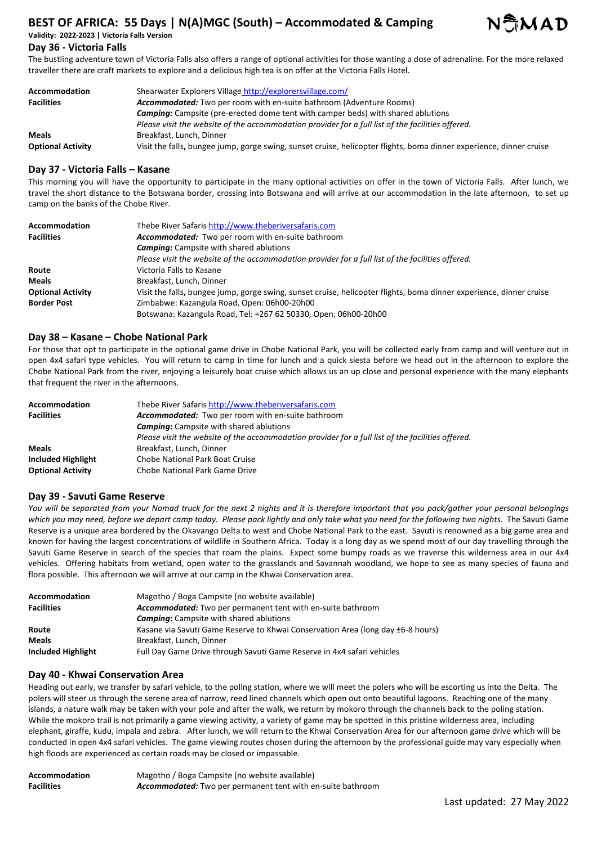# **BEST OF AFRICA: 55 Days | N(A)MGC (South) – Accommodated & Camping Validity: 2022-2023 | Victoria Falls Version**



# **Day 36 - Victoria Falls**

The bustling adventure town of Victoria Falls also offers a range of optional activities for those wanting a dose of adrenaline. For the more relaxed traveller there are craft markets to explore and a delicious high tea is on offer at the Victoria Falls Hotel.

| <b>Accommodation</b>     | Shearwater Explorers Village http://explorersvillage.com/                                                           |
|--------------------------|---------------------------------------------------------------------------------------------------------------------|
| <b>Facilities</b>        | <b>Accommodated:</b> Two per room with en-suite bathroom (Adventure Rooms)                                          |
|                          | <b>Camping:</b> Campsite (pre-erected dome tent with camper beds) with shared ablutions                             |
|                          | Please visit the website of the accommodation provider for a full list of the facilities offered.                   |
| <b>Meals</b>             | Breakfast, Lunch, Dinner                                                                                            |
| <b>Optional Activity</b> | Visit the falls, bungee jump, gorge swing, sunset cruise, helicopter flights, boma dinner experience, dinner cruise |

## **Day 37 - Victoria Falls – Kasane**

This morning you will have the opportunity to participate in the many optional activities on offer in the town of Victoria Falls. After lunch, we travel the short distance to the Botswana border, crossing into Botswana and will arrive at our accommodation in the late afternoon, to set up camp on the banks of the Chobe River.

| Accommodation            | Thebe River Safaris http://www.theberiversafaris.com                                                                |
|--------------------------|---------------------------------------------------------------------------------------------------------------------|
| <b>Facilities</b>        | Accommodated: Two per room with en-suite bathroom                                                                   |
|                          | <b>Camping:</b> Campsite with shared ablutions                                                                      |
|                          | Please visit the website of the accommodation provider for a full list of the facilities offered.                   |
| Route                    | Victoria Falls to Kasane                                                                                            |
| <b>Meals</b>             | Breakfast, Lunch, Dinner                                                                                            |
| <b>Optional Activity</b> | Visit the falls, bungee jump, gorge swing, sunset cruise, helicopter flights, boma dinner experience, dinner cruise |
| <b>Border Post</b>       | Zimbabwe: Kazangula Road, Open: 06h00-20h00                                                                         |
|                          | Botswana: Kazangula Road, Tel: +267 62 50330, Open: 06h00-20h00                                                     |

## **Day 38 – Kasane – Chobe National Park**

For those that opt to participate in the optional game drive in Chobe National Park, you will be collected early from camp and will venture out in open 4x4 safari type vehicles. You will return to camp in time for lunch and a quick siesta before we head out in the afternoon to explore the Chobe National Park from the river, enjoying a leisurely boat cruise which allows us an up close and personal experience with the many elephants that frequent the river in the afternoons.

| Accommodation            | Thebe River Safaris http://www.theberiversafaris.com                                              |
|--------------------------|---------------------------------------------------------------------------------------------------|
| <b>Facilities</b>        | <b>Accommodated:</b> Two per room with en-suite bathroom                                          |
|                          | <b>Camping:</b> Campsite with shared ablutions                                                    |
|                          | Please visit the website of the accommodation provider for a full list of the facilities offered. |
| <b>Meals</b>             | Breakfast, Lunch, Dinner                                                                          |
| Included Highlight       | Chobe National Park Boat Cruise                                                                   |
| <b>Optional Activity</b> | Chobe National Park Game Drive                                                                    |

#### **Day 39 - Savuti Game Reserve**

*You will be separated from your Nomad truck for the next 2 nights and it is therefore important that you pack/gather your personal belongings which you may need, before we depart camp today. Please pack lightly and only take what you need for the following two nights.* The Savuti Game Reserve is a unique area bordered by the Okavango Delta to west and Chobe National Park to the east. Savuti is renowned as a big game area and known for having the largest concentrations of wildlife in Southern Africa. Today is a long day as we spend most of our day travelling through the Savuti Game Reserve in search of the species that roam the plains. Expect some bumpy roads as we traverse this wilderness area in our 4x4 vehicles. Offering habitats from wetland, open water to the grasslands and Savannah woodland, we hope to see as many species of fauna and flora possible. This afternoon we will arrive at our camp in the Khwai Conservation area.

| <b>Accommodation</b>      | Magotho / Boga Campsite (no website available)                                  |
|---------------------------|---------------------------------------------------------------------------------|
| <b>Facilities</b>         | Accommodated: Two per permanent tent with en-suite bathroom                     |
|                           | <b>Camping:</b> Campsite with shared ablutions                                  |
| Route                     | Kasane via Savuti Game Reserve to Khwai Conservation Area (long day ±6-8 hours) |
| <b>Meals</b>              | Breakfast, Lunch, Dinner                                                        |
| <b>Included Highlight</b> | Full Day Game Drive through Savuti Game Reserve in 4x4 safari vehicles          |

#### **Day 40 - Khwai Conservation Area**

Heading out early, we transfer by safari vehicle, to the poling station, where we will meet the polers who will be escorting us into the Delta. The polers will steer us through the serene area of narrow, reed lined channels which open out onto beautiful lagoons. Reaching one of the many islands, a nature walk may be taken with your pole and after the walk, we return by mokoro through the channels back to the poling station. While the mokoro trail is not primarily a game viewing activity, a variety of game may be spotted in this pristine wilderness area, including elephant, giraffe, kudu, impala and zebra. After lunch, we will return to the Khwai Conservation Area for our afternoon game drive which will be conducted in open 4x4 safari vehicles. The game viewing routes chosen during the afternoon by the professional guide may vary especially when high floods are experienced as certain roads may be closed or impassable.

| <b>Accommodation</b> | Magotho / Boga Campsite (no website available)                     |
|----------------------|--------------------------------------------------------------------|
| <b>Facilities</b>    | <b>Accommodated:</b> Two per permanent tent with en-suite bathroom |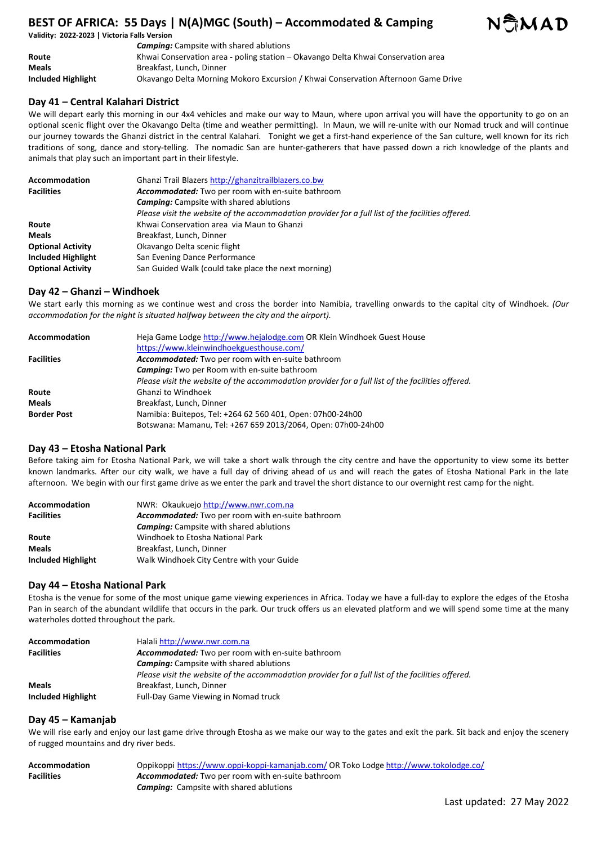

|                    | <b>Camping:</b> Campsite with shared ablutions                                    |
|--------------------|-----------------------------------------------------------------------------------|
| Route              | Khwai Conservation area - poling station – Okavango Delta Khwai Conservation area |
| <b>Meals</b>       | Breakfast, Lunch, Dinner                                                          |
| Included Highlight | Okavango Delta Morning Mokoro Excursion / Khwai Conservation Afternoon Game Drive |

## **Day 41 – Central Kalahari District**

We will depart early this morning in our 4x4 vehicles and make our way to Maun, where upon arrival you will have the opportunity to go on an optional scenic flight over the Okavango Delta (time and weather permitting). In Maun, we will re-unite with our Nomad truck and will continue our journey towards the Ghanzi district in the central Kalahari. Tonight we get a first-hand experience of the San culture, well known for its rich traditions of song, dance and story-telling. The nomadic San are hunter-gatherers that have passed down a rich knowledge of the plants and animals that play such an important part in their lifestyle.

| Accommodation             | Ghanzi Trail Blazers http://ghanzitrailblazers.co.bw                                              |
|---------------------------|---------------------------------------------------------------------------------------------------|
| <b>Facilities</b>         | Accommodated: Two per room with en-suite bathroom                                                 |
|                           | <b>Camping:</b> Campsite with shared ablutions                                                    |
|                           | Please visit the website of the accommodation provider for a full list of the facilities offered. |
| Route                     | Khwai Conservation area via Maun to Ghanzi                                                        |
| <b>Meals</b>              | Breakfast, Lunch, Dinner                                                                          |
| <b>Optional Activity</b>  | Okavango Delta scenic flight                                                                      |
| <b>Included Highlight</b> | San Evening Dance Performance                                                                     |
| <b>Optional Activity</b>  | San Guided Walk (could take place the next morning)                                               |

## **Day 42 – Ghanzi – Windhoek**

We start early this morning as we continue west and cross the border into Namibia, travelling onwards to the capital city of Windhoek. *(Our accommodation for the night is situated halfway between the city and the airport).*

| Accommodation      | Heja Game Lodge http://www.hejalodge.com OR Klein Windhoek Guest House                            |
|--------------------|---------------------------------------------------------------------------------------------------|
|                    | https://www.kleinwindhoekguesthouse.com/                                                          |
| <b>Facilities</b>  | Accommodated: Two per room with en-suite bathroom                                                 |
|                    | <b>Camping:</b> Two per Room with en-suite bathroom                                               |
|                    | Please visit the website of the accommodation provider for a full list of the facilities offered. |
| Route              | <b>Ghanzi to Windhoek</b>                                                                         |
| <b>Meals</b>       | Breakfast, Lunch, Dinner                                                                          |
| <b>Border Post</b> | Namibia: Buitepos, Tel: +264 62 560 401, Open: 07h00-24h00                                        |
|                    | Botswana: Mamanu, Tel: +267 659 2013/2064, Open: 07h00-24h00                                      |

## **Day 43 – Etosha National Park**

Before taking aim for Etosha National Park, we will take a short walk through the city centre and have the opportunity to view some its better known landmarks. After our city walk, we have a full day of driving ahead of us and will reach the gates of Etosha National Park in the late afternoon. We begin with our first game drive as we enter the park and travel the short distance to our overnight rest camp for the night.

| <b>Accommodation</b> | NWR: Okaukuejo http://www.nwr.com.na              |
|----------------------|---------------------------------------------------|
| <b>Facilities</b>    | Accommodated: Two per room with en-suite bathroom |
|                      | <b>Camping:</b> Campsite with shared ablutions    |
| Route                | Windhoek to Etosha National Park                  |
| <b>Meals</b>         | Breakfast, Lunch, Dinner                          |
| Included Highlight   | Walk Windhoek City Centre with your Guide         |

#### **Day 44 – Etosha National Park**

Etosha is the venue for some of the most unique game viewing experiences in Africa. Today we have a full-day to explore the edges of the Etosha Pan in search of the abundant wildlife that occurs in the park. Our truck offers us an elevated platform and we will spend some time at the many waterholes dotted throughout the park.

| <b>Accommodation</b> | Halali http://www.nwr.com.na                                                                      |
|----------------------|---------------------------------------------------------------------------------------------------|
| <b>Facilities</b>    | <b>Accommodated:</b> Two per room with en-suite bathroom                                          |
|                      | <b>Camping:</b> Campsite with shared ablutions                                                    |
|                      | Please visit the website of the accommodation provider for a full list of the facilities offered. |
| <b>Meals</b>         | Breakfast, Lunch, Dinner                                                                          |
| Included Highlight   | Full-Day Game Viewing in Nomad truck                                                              |

#### **Day 45 – Kamanjab**

We will rise early and enjoy our last game drive through Etosha as we make our way to the gates and exit the park. Sit back and enjoy the scenery of rugged mountains and dry river beds.

| Accommodation     | Oppikoppi https://www.oppi-koppi-kamanjab.com/ OR Toko Lodge http://www.tokolodge.co/ |
|-------------------|---------------------------------------------------------------------------------------|
| <b>Facilities</b> | <b>Accommodated:</b> Two per room with en-suite bathroom                              |
|                   | <b>Camping:</b> Campsite with shared ablutions                                        |

NGMAD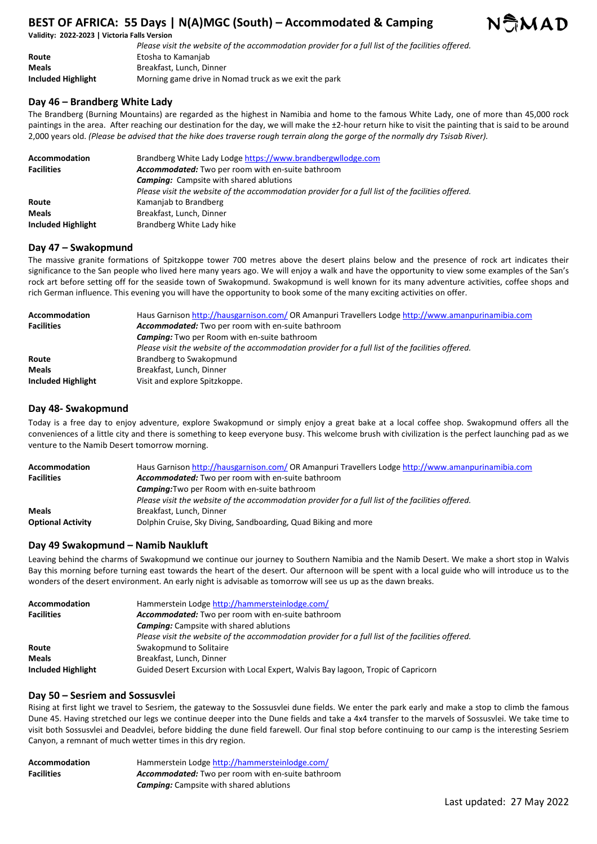**Validity: 2022-2023 | Victoria Falls Version** 

|                           | Please visit the website of the accommodation provider for a full list of the facilities offered. |
|---------------------------|---------------------------------------------------------------------------------------------------|
| Route                     | Etosha to Kamanjab                                                                                |
| <b>Meals</b>              | Breakfast, Lunch, Dinner                                                                          |
| <b>Included Highlight</b> | Morning game drive in Nomad truck as we exit the park                                             |

## **Day 46 – Brandberg White Lady**

The Brandberg (Burning Mountains) are regarded as the highest in Namibia and home to the famous White Lady, one of more than 45,000 rock paintings in the area. After reaching our destination for the day, we will make the ±2-hour return hike to visit the painting that is said to be around 2,000 years old. *(Please be advised that the hike does traverse rough terrain along the gorge of the normally dry Tsisab River).* 

| Accommodation      | Brandberg White Lady Lodge https://www.brandbergwllodge.com                                       |
|--------------------|---------------------------------------------------------------------------------------------------|
| <b>Facilities</b>  | Accommodated: Two per room with en-suite bathroom                                                 |
|                    | <b>Camping:</b> Campsite with shared ablutions                                                    |
|                    | Please visit the website of the accommodation provider for a full list of the facilities offered. |
| Route              | Kamanjab to Brandberg                                                                             |
| <b>Meals</b>       | Breakfast, Lunch, Dinner                                                                          |
| Included Highlight | Brandberg White Lady hike                                                                         |

## **Day 47 – Swakopmund**

The massive granite formations of Spitzkoppe tower 700 metres above the desert plains below and the presence of rock art indicates their significance to the San people who lived here many years ago. We will enjoy a walk and have the opportunity to view some examples of the San's rock art before setting off for the seaside town of Swakopmund. Swakopmund is well known for its many adventure activities, coffee shops and rich German influence. This evening you will have the opportunity to book some of the many exciting activities on offer.

| <b>Accommodation</b>      | Haus Garnison http://hausgarnison.com/ OR Amanpuri Travellers Lodge http://www.amanpurinamibia.com |
|---------------------------|----------------------------------------------------------------------------------------------------|
| <b>Facilities</b>         | Accommodated: Two per room with en-suite bathroom                                                  |
|                           | <b>Camping:</b> Two per Room with en-suite bathroom                                                |
|                           | Please visit the website of the accommodation provider for a full list of the facilities offered.  |
| Route                     | Brandberg to Swakopmund                                                                            |
| <b>Meals</b>              | Breakfast, Lunch, Dinner                                                                           |
| <b>Included Highlight</b> | Visit and explore Spitzkoppe.                                                                      |

## **Day 48- Swakopmund**

Today is a free day to enjoy adventure, explore Swakopmund or simply enjoy a great bake at a local coffee shop. Swakopmund offers all the conveniences of a little city and there is something to keep everyone busy. This welcome brush with civilization is the perfect launching pad as we venture to the Namib Desert tomorrow morning.

| <b>Accommodation</b>     | Haus Garnison http://hausgarnison.com/ OR Amanpuri Travellers Lodge http://www.amanpurinamibia.com |
|--------------------------|----------------------------------------------------------------------------------------------------|
| <b>Facilities</b>        | Accommodated: Two per room with en-suite bathroom                                                  |
|                          | <b>Camping:</b> Two per Room with en-suite bathroom                                                |
|                          | Please visit the website of the accommodation provider for a full list of the facilities offered.  |
| <b>Meals</b>             | Breakfast, Lunch, Dinner                                                                           |
| <b>Optional Activity</b> | Dolphin Cruise, Sky Diving, Sandboarding, Quad Biking and more                                     |

## **Day 49 Swakopmund – Namib Naukluft**

Leaving behind the charms of Swakopmund we continue our journey to Southern Namibia and the Namib Desert. We make a short stop in Walvis Bay this morning before turning east towards the heart of the desert. Our afternoon will be spent with a local guide who will introduce us to the wonders of the desert environment. An early night is advisable as tomorrow will see us up as the dawn breaks.

| <b>Accommodation</b> | Hammerstein Lodge http://hammersteinlodge.com/                                                    |
|----------------------|---------------------------------------------------------------------------------------------------|
| <b>Facilities</b>    | Accommodated: Two per room with en-suite bathroom                                                 |
|                      | <b>Camping:</b> Campsite with shared ablutions                                                    |
|                      | Please visit the website of the accommodation provider for a full list of the facilities offered. |
| Route                | Swakopmund to Solitaire                                                                           |
| <b>Meals</b>         | Breakfast, Lunch, Dinner                                                                          |
| Included Highlight   | Guided Desert Excursion with Local Expert, Walvis Bay lagoon, Tropic of Capricorn                 |

## **Day 50 – Sesriem and Sossusvlei**

Rising at first light we travel to Sesriem, the gateway to the Sossusvlei dune fields. We enter the park early and make a stop to climb the famous Dune 45. Having stretched our legs we continue deeper into the Dune fields and take a 4x4 transfer to the marvels of Sossusvlei. We take time to visit both Sossusvlei and Deadvlei, before bidding the dune field farewell. Our final stop before continuing to our camp is the interesting Sesriem Canyon, a remnant of much wetter times in this dry region.

| <b>Accommodation</b> | Hammerstein Lodge http://hammersteinlodge.com/           |
|----------------------|----------------------------------------------------------|
| <b>Facilities</b>    | <b>Accommodated:</b> Two per room with en-suite bathroom |
|                      | <b>Camping:</b> Campsite with shared ablutions           |

NGMAD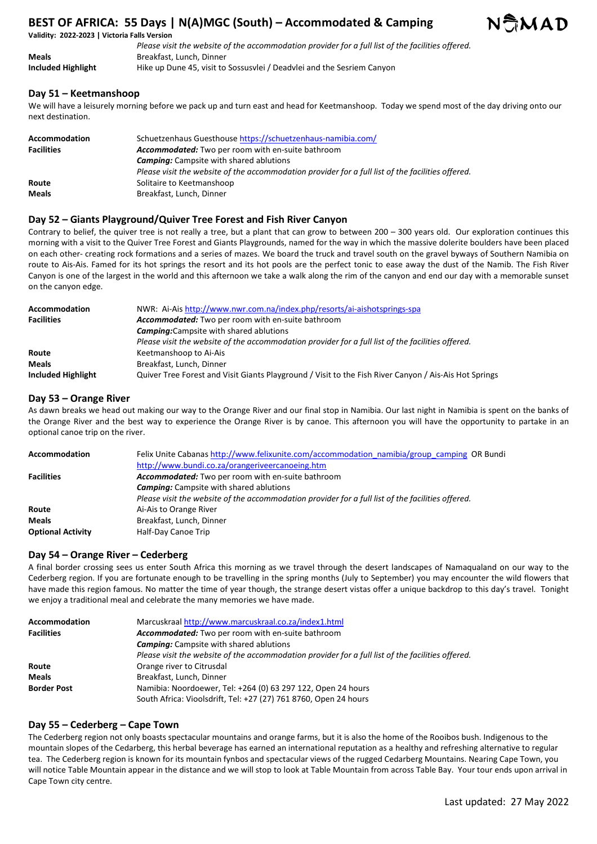## **Validity: 2022-2023 | Victoria Falls Version**

|                    | Please visit the website of the accommodation provider for a full list of the facilities offered. |
|--------------------|---------------------------------------------------------------------------------------------------|
| Meals              | Breakfast. Lunch. Dinner                                                                          |
| Included Highlight | Hike up Dune 45, visit to Sossusvlei / Deadvlei and the Sesriem Canyon                            |

# **Day 51 – Keetmanshoop**

We will have a leisurely morning before we pack up and turn east and head for Keetmanshoop. Today we spend most of the day driving onto our next destination.

| <b>Accommodation</b> | Schuetzenhaus Guesthouse https://schuetzenhaus-namibia.com/                                       |
|----------------------|---------------------------------------------------------------------------------------------------|
| <b>Facilities</b>    | Accommodated: Two per room with en-suite bathroom                                                 |
|                      | <b>Camping:</b> Campsite with shared ablutions                                                    |
|                      | Please visit the website of the accommodation provider for a full list of the facilities offered. |
| Route                | Solitaire to Keetmanshoop                                                                         |
| <b>Meals</b>         | Breakfast, Lunch, Dinner                                                                          |

## **Day 52 – Giants Playground/Quiver Tree Forest and Fish River Canyon**

Contrary to belief, the quiver tree is not really a tree, but a plant that can grow to between 200 – 300 years old. Our exploration continues this morning with a visit to the Quiver Tree Forest and Giants Playgrounds, named for the way in which the massive dolerite boulders have been placed on each other- creating rock formations and a series of mazes. We board the truck and travel south on the gravel byways of Southern Namibia on route to Ais-Ais. Famed for its hot springs the resort and its hot pools are the perfect tonic to ease away the dust of the Namib. The Fish River Canyon is one of the largest in the world and this afternoon we take a walk along the rim of the canyon and end our day with a memorable sunset on the canyon edge.

| <b>Accommodation</b>      | NWR: Ai-Ais http://www.nwr.com.na/index.php/resorts/ai-aishotsprings-spa                              |
|---------------------------|-------------------------------------------------------------------------------------------------------|
| <b>Facilities</b>         | Accommodated: Two per room with en-suite bathroom                                                     |
|                           | <b>Camping:</b> Campsite with shared ablutions                                                        |
|                           | Please visit the website of the accommodation provider for a full list of the facilities offered.     |
| Route                     | Keetmanshoop to Ai-Ais                                                                                |
| <b>Meals</b>              | Breakfast, Lunch, Dinner                                                                              |
| <b>Included Highlight</b> | Quiver Tree Forest and Visit Giants Playground / Visit to the Fish River Canyon / Ais-Ais Hot Springs |

## **Day 53 – Orange River**

As dawn breaks we head out making our way to the Orange River and our final stop in Namibia. Our last night in Namibia is spent on the banks of the Orange River and the best way to experience the Orange River is by canoe. This afternoon you will have the opportunity to partake in an optional canoe trip on the river.

| <b>Accommodation</b>     | Felix Unite Cabanas http://www.felixunite.com/accommodation_namibia/group_camping_OR Bundi        |
|--------------------------|---------------------------------------------------------------------------------------------------|
|                          | http://www.bundi.co.za/orangeriveercanoeing.htm                                                   |
| <b>Facilities</b>        | Accommodated: Two per room with en-suite bathroom                                                 |
|                          | <b>Camping:</b> Campsite with shared ablutions                                                    |
|                          | Please visit the website of the accommodation provider for a full list of the facilities offered. |
| Route                    | Ai-Ais to Orange River                                                                            |
| <b>Meals</b>             | Breakfast, Lunch, Dinner                                                                          |
| <b>Optional Activity</b> | Half-Day Canoe Trip                                                                               |

## **Day 54 – Orange River – Cederberg**

A final border crossing sees us enter South Africa this morning as we travel through the desert landscapes of Namaqualand on our way to the Cederberg region. If you are fortunate enough to be travelling in the spring months (July to September) you may encounter the wild flowers that have made this region famous. No matter the time of year though, the strange desert vistas offer a unique backdrop to this day's travel. Tonight we enjoy a traditional meal and celebrate the many memories we have made.

| Accommodation      | Marcuskraal http://www.marcuskraal.co.za/index1.html                                              |
|--------------------|---------------------------------------------------------------------------------------------------|
| <b>Facilities</b>  | Accommodated: Two per room with en-suite bathroom                                                 |
|                    | <b>Camping:</b> Campsite with shared ablutions                                                    |
|                    | Please visit the website of the accommodation provider for a full list of the facilities offered. |
| Route              | Orange river to Citrusdal                                                                         |
| <b>Meals</b>       | Breakfast, Lunch, Dinner                                                                          |
| <b>Border Post</b> | Namibia: Noordoewer, Tel: +264 (0) 63 297 122, Open 24 hours                                      |
|                    | South Africa: Vioolsdrift, Tel: +27 (27) 761 8760, Open 24 hours                                  |

#### **Day 55 – Cederberg – Cape Town**

The Cederberg region not only boasts spectacular mountains and orange farms, but it is also the home of the Rooibos bush. Indigenous to the mountain slopes of the Cedarberg, this herbal beverage has earned an international reputation as a healthy and refreshing alternative to regular tea. The Cederberg region is known for its mountain fynbos and spectacular views of the rugged Cedarberg Mountains. Nearing Cape Town, you will notice Table Mountain appear in the distance and we will stop to look at Table Mountain from across Table Bay. Your tour ends upon arrival in Cape Town city centre.

NSMAD